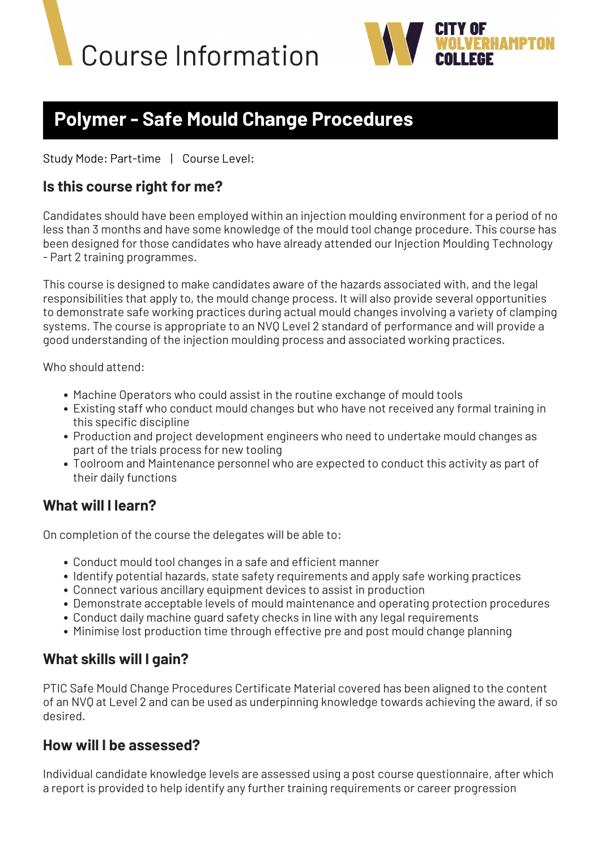



# **Polymer - Safe Mould Change Procedures**

Study Mode: Part-time | Course Level:

#### **Is this course right for me?**

Candidates should have been employed within an injection moulding environment for a period of no less than 3 months and have some knowledge of the mould tool change procedure. This course has been designed for those candidates who have already attended our Injection Moulding Technology - Part 2 training programmes.

This course is designed to make candidates aware of the hazards associated with, and the legal responsibilities that apply to, the mould change process. It will also provide several opportunities to demonstrate safe working practices during actual mould changes involving a variety of clamping systems. The course is appropriate to an NVQ Level 2 standard of performance and will provide a good understanding of the injection moulding process and associated working practices.

Who should attend:

- Machine Operators who could assist in the routine exchange of mould tools
- Existing staff who conduct mould changes but who have not received any formal training in this specific discipline
- Production and project development engineers who need to undertake mould changes as part of the trials process for new tooling
- Toolroom and Maintenance personnel who are expected to conduct this activity as part of their daily functions

### **What will I learn?**

On completion of the course the delegates will be able to:

- Conduct mould tool changes in a safe and efficient manner
- Identify potential hazards, state safety requirements and apply safe working practices
- Connect various ancillary equipment devices to assist in production
- Demonstrate acceptable levels of mould maintenance and operating protection procedures
- Conduct daily machine guard safety checks in line with any legal requirements
- Minimise lost production time through effective pre and post mould change planning

### **What skills will I gain?**

PTIC Safe Mould Change Procedures Certificate Material covered has been aligned to the content of an NVQ at Level 2 and can be used as underpinning knowledge towards achieving the award, if so desired.

#### **How will I be assessed?**

Individual candidate knowledge levels are assessed using a post course questionnaire, after which a report is provided to help identify any further training requirements or career progression